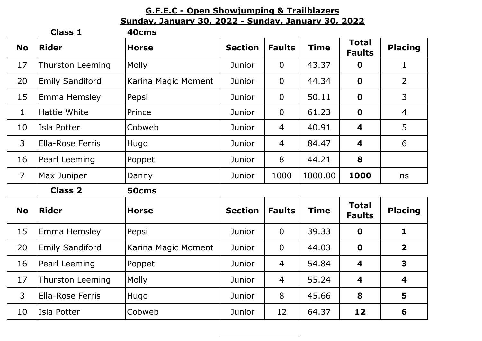## **G.F.E.C - Open Showjumping & Trailblazers Sunday, January 30, 2022 - Sunday, January 30, 2022**

|                | <b>Class 1</b>          | 40cms               |                |                |             |                               |                         |
|----------------|-------------------------|---------------------|----------------|----------------|-------------|-------------------------------|-------------------------|
| <b>No</b>      | <b>Rider</b>            | <b>Horse</b>        | <b>Section</b> | <b>Faults</b>  | <b>Time</b> | <b>Total</b><br><b>Faults</b> | <b>Placing</b>          |
| 17             | <b>Thurston Leeming</b> | <b>Molly</b>        | Junior         | $\overline{0}$ | 43.37       | $\mathbf 0$                   | $\mathbf{1}$            |
| 20             | <b>Emily Sandiford</b>  | Karina Magic Moment | Junior         | $\overline{0}$ | 44.34       | $\mathbf 0$                   | $\overline{2}$          |
| 15             | Emma Hemsley            | Pepsi               | Junior         | $\overline{0}$ | 50.11       | $\mathbf 0$                   | $\mathsf{3}$            |
| $\mathbf{1}$   | Hattie White            | Prince              | Junior         | $\mathbf 0$    | 61.23       | $\mathbf 0$                   | $\overline{4}$          |
| 10             | Isla Potter             | Cobweb              | Junior         | $\overline{4}$ | 40.91       | 4                             | 5                       |
| 3              | <b>Ella-Rose Ferris</b> | Hugo                | Junior         | $\overline{4}$ | 84.47       | 4                             | 6                       |
| 16             | Pearl Leeming           | Poppet              | Junior         | 8              | 44.21       | 8                             |                         |
| $\overline{7}$ | Max Juniper             | Danny               | Junior         | 1000           | 1000.00     | 1000                          | ns                      |
|                | <b>Class 2</b>          | 50cms               |                |                |             |                               |                         |
| <b>No</b>      | <b>Rider</b>            | <b>Horse</b>        | <b>Section</b> | <b>Faults</b>  | <b>Time</b> | <b>Total</b><br><b>Faults</b> | <b>Placing</b>          |
| 15             | Emma Hemsley            | Pepsi               | Junior         | $\overline{0}$ | 39.33       | $\mathbf 0$                   | $\mathbf{1}$            |
| 20             | <b>Emily Sandiford</b>  | Karina Magic Moment | Junior         | $\overline{0}$ | 44.03       | $\mathbf 0$                   | $\overline{2}$          |
| 16             | Pearl Leeming           | Poppet              | Junior         | $\overline{4}$ | 54.84       | 4                             | $\overline{\mathbf{3}}$ |
| 17             | <b>Thurston Leeming</b> | Molly               | Junior         | $\overline{4}$ | 55.24       | 4                             | 4                       |
| $\mathsf{3}$   | <b>Ella-Rose Ferris</b> | Hugo                | Junior         | 8              | 45.66       | 8                             | 5                       |
| 10             | Isla Potter             | Cobweb              | Junior         | 12             | 64.37       | 12                            | 6                       |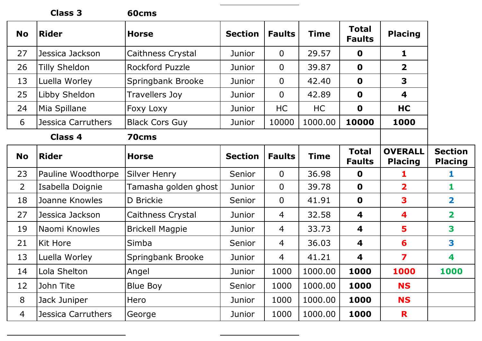|                | <b>Class 3</b>       | 60cms                  |                |                |             |                               |                                  |                                  |
|----------------|----------------------|------------------------|----------------|----------------|-------------|-------------------------------|----------------------------------|----------------------------------|
| <b>No</b>      | <b>Rider</b>         | <b>Horse</b>           | <b>Section</b> | <b>Faults</b>  | <b>Time</b> | <b>Total</b><br><b>Faults</b> | <b>Placing</b>                   |                                  |
| 27             | Jessica Jackson      | Caithness Crystal      | Junior         | $\overline{0}$ | 29.57       | $\mathbf 0$                   | 1                                |                                  |
| 26             | <b>Tilly Sheldon</b> | <b>Rockford Puzzle</b> | Junior         | $\overline{0}$ | 39.87       | $\mathbf 0$                   | $\overline{2}$                   |                                  |
| 13             | Luella Worley        | Springbank Brooke      | Junior         | $\mathbf 0$    | 42.40       | $\mathbf 0$                   | 3                                |                                  |
| 25             | Libby Sheldon        | Travellers Joy         | Junior         | $\mathbf 0$    | 42.89       | $\mathbf 0$                   | 4                                |                                  |
| 24             | Mia Spillane         | <b>Foxy Loxy</b>       | Junior         | <b>HC</b>      | HC          | $\mathbf 0$                   | HC                               |                                  |
| 6              | Jessica Carruthers   | <b>Black Cors Guy</b>  | Junior         | 10000          | 1000.00     | 10000                         | 1000                             |                                  |
|                | <b>Class 4</b>       | 70cms                  |                |                |             |                               |                                  |                                  |
| <b>No</b>      | <b>Rider</b>         | <b>Horse</b>           | <b>Section</b> | <b>Faults</b>  | <b>Time</b> | <b>Total</b><br><b>Faults</b> | <b>OVERALL</b><br><b>Placing</b> | <b>Section</b><br><b>Placing</b> |
| 23             | Pauline Woodthorpe   | <b>Silver Henry</b>    | Senior         | $\overline{0}$ | 36.98       | $\mathbf 0$                   | 1                                | 1                                |
| $\overline{2}$ | Isabella Doignie     | Tamasha golden ghost   | Junior         | $\overline{0}$ | 39.78       | $\mathbf 0$                   | $\overline{\mathbf{2}}$          | 1                                |
| 18             | Joanne Knowles       | D Brickie              | Senior         | $\mathbf 0$    | 41.91       | $\mathbf 0$                   | 3                                | $\overline{\mathbf{2}}$          |
| 27             | Jessica Jackson      | Caithness Crystal      | Junior         | 4              | 32.58       | 4                             | 4                                | $\overline{\mathbf{2}}$          |
| 19             | Naomi Knowles        | <b>Brickell Magpie</b> | Junior         | 4              | 33.73       | 4                             | 5                                | 3                                |
| 21             | Kit Hore             | Simba                  | Senior         | $\overline{4}$ | 36.03       | 4                             | 6                                | 3                                |
| 13             | Luella Worley        | Springbank Brooke      | Junior         | 4              | 41.21       | $\boldsymbol{4}$              | 7                                | 4                                |
| 14             | Lola Shelton         | Angel                  | Junior         | 1000           | 1000.00     | 1000                          | 1000                             | 1000                             |
| 12             | John Tite            | <b>Blue Boy</b>        | Senior         | 1000           | 1000.00     | 1000                          | <b>NS</b>                        |                                  |
| 8              | Jack Juniper         | Hero                   | Junior         | 1000           | 1000.00     | 1000                          | <b>NS</b>                        |                                  |
| $\overline{4}$ | Jessica Carruthers   | George                 | Junior         | 1000           | 1000.00     | 1000                          | R                                |                                  |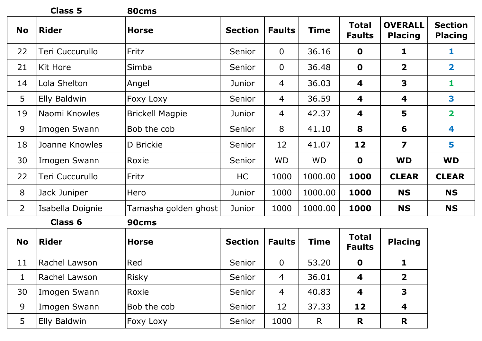|                | <b>Class 5</b>          | 80cms                  |                |                |              |                               |                                  |                                  |  |
|----------------|-------------------------|------------------------|----------------|----------------|--------------|-------------------------------|----------------------------------|----------------------------------|--|
| <b>No</b>      | <b>Rider</b>            | <b>Horse</b>           | <b>Section</b> | <b>Faults</b>  | Time         | <b>Total</b><br><b>Faults</b> | <b>OVERALL</b><br><b>Placing</b> | <b>Section</b><br><b>Placing</b> |  |
| 22             | Teri Cuccurullo         | Fritz                  | Senior         | $\overline{0}$ | 36.16        | $\mathbf 0$                   | 1                                | 1                                |  |
| 21             | Kit Hore                | Simba                  | Senior         | $\overline{0}$ | 36.48        | $\mathbf 0$                   | $\overline{2}$                   | $\mathbf{2}$                     |  |
| 14             | Lola Shelton            | Angel                  | Junior         | 4              | 36.03        | 4                             | 3                                | 1                                |  |
| 5              | <b>Elly Baldwin</b>     | Foxy Loxy              | Senior         | 4              | 36.59        | 4                             | 4                                | 3                                |  |
| 19             | Naomi Knowles           | <b>Brickell Magpie</b> | Junior         | 4              | 42.37        | 4                             | 5                                | $\overline{\mathbf{2}}$          |  |
| 9              | Imogen Swann            | Bob the cob            | Senior         | 8              | 41.10        | 8                             | 6                                | 4                                |  |
| 18             | Joanne Knowles          | D Brickie              | Senior         | 12             | 41.07        | 12                            | $\overline{\mathbf{z}}$          | 5                                |  |
| 30             | Imogen Swann            | Roxie                  | Senior         | <b>WD</b>      | <b>WD</b>    | $\mathbf 0$                   | <b>WD</b>                        | <b>WD</b>                        |  |
| 22             | Teri Cuccurullo         | Fritz                  | HC             | 1000           | 1000.00      | 1000                          | <b>CLEAR</b>                     | <b>CLEAR</b>                     |  |
| 8              | Jack Juniper            | Hero                   | Junior         | 1000           | 1000.00      | 1000                          | <b>NS</b>                        | <b>NS</b>                        |  |
| $\overline{2}$ | Isabella Doignie        | Tamasha golden ghost   | Junior         | 1000           | 1000.00      | 1000                          | <b>NS</b>                        | <b>NS</b>                        |  |
|                | <b>Class 6</b><br>90cms |                        |                |                |              |                               |                                  |                                  |  |
| <b>No</b>      | <b>Rider</b>            | <b>Horse</b>           | <b>Section</b> | <b>Faults</b>  | Time         | <b>Total</b><br><b>Faults</b> | <b>Placing</b>                   |                                  |  |
| 11             | Rachel Lawson           | Red                    | Senior         | $\overline{0}$ | 53.20        | $\mathbf 0$                   | $\mathbf{1}$                     |                                  |  |
| $\mathbf{1}$   | Rachel Lawson           | <b>Risky</b>           | Senior         | $\overline{4}$ | 36.01        | 4                             | $\overline{2}$                   |                                  |  |
| 30             | Imogen Swann            | Roxie                  | Senior         | 4              | 40.83        | 4                             | $\overline{\mathbf{3}}$          |                                  |  |
| 9              | Imogen Swann            | Bob the cob            | Senior         | 12             | 37.33        | 12                            | 4                                |                                  |  |
| 5              | <b>Elly Baldwin</b>     | Foxy Loxy              | Senior         | 1000           | $\mathsf{R}$ | R                             | R                                |                                  |  |